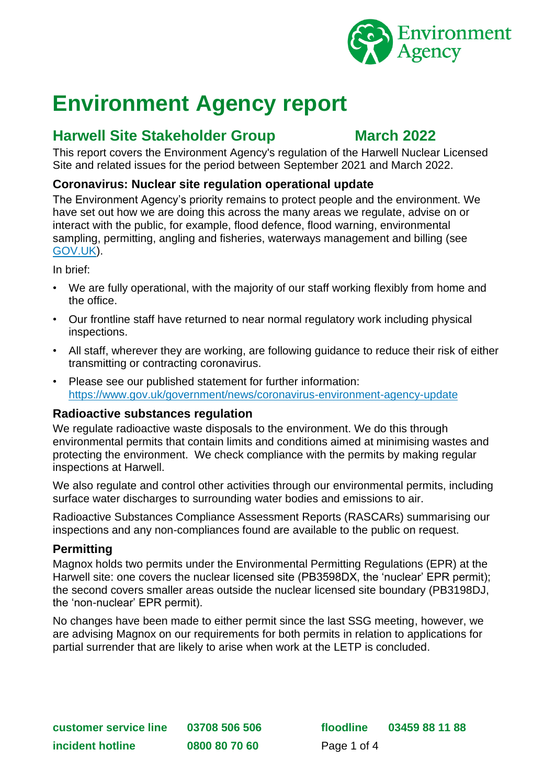

# **Environment Agency report**

## **Harwell Site Stakeholder Group March 2022**

This report covers the Environment Agency's regulation of the Harwell Nuclear Licensed Site and related issues for the period between September 2021 and March 2022.

#### **Coronavirus: Nuclear site regulation operational update**

The Environment Agency's priority remains to protect people and the environment. We have set out how we are doing this across the many areas we regulate, advise on or interact with the public, for example, flood defence, flood warning, environmental sampling, permitting, angling and fisheries, waterways management and billing (see [GOV.UK\)](https://www.gov.uk/government/news/coronavirus-environment-agency-update).

In brief:

- We are fully operational, with the majority of our staff working flexibly from home and the office.
- Our frontline staff have returned to near normal regulatory work including physical inspections.
- All staff, wherever they are working, are following guidance to reduce their risk of either transmitting or contracting coronavirus.
- Please see our published statement for further information: <https://www.gov.uk/government/news/coronavirus-environment-agency-update>

#### **Radioactive substances regulation**

We regulate radioactive waste disposals to the environment. We do this through environmental permits that contain limits and conditions aimed at minimising wastes and protecting the environment. We check compliance with the permits by making regular inspections at Harwell.

We also regulate and control other activities through our environmental permits, including surface water discharges to surrounding water bodies and emissions to air.

Radioactive Substances Compliance Assessment Reports (RASCARs) summarising our inspections and any non-compliances found are available to the public on request.

#### **Permitting**

Magnox holds two permits under the Environmental Permitting Regulations (EPR) at the Harwell site: one covers the nuclear licensed site (PB3598DX, the 'nuclear' EPR permit); the second covers smaller areas outside the nuclear licensed site boundary (PB3198DJ, the 'non-nuclear' EPR permit).

No changes have been made to either permit since the last SSG meeting, however, we are advising Magnox on our requirements for both permits in relation to applications for partial surrender that are likely to arise when work at the LETP is concluded.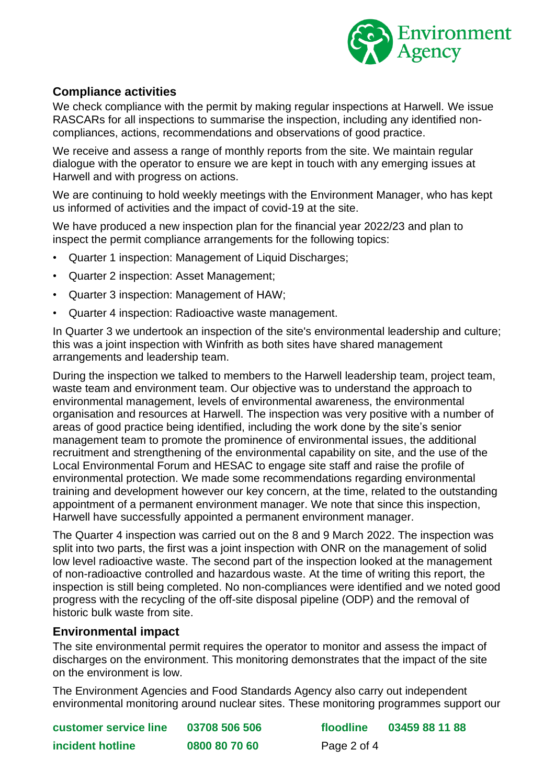

### **Compliance activities**

We check compliance with the permit by making regular inspections at Harwell. We issue RASCARs for all inspections to summarise the inspection, including any identified noncompliances, actions, recommendations and observations of good practice.

We receive and assess a range of monthly reports from the site. We maintain regular dialogue with the operator to ensure we are kept in touch with any emerging issues at Harwell and with progress on actions.

We are continuing to hold weekly meetings with the Environment Manager, who has kept us informed of activities and the impact of covid-19 at the site.

We have produced a new inspection plan for the financial year 2022/23 and plan to inspect the permit compliance arrangements for the following topics:

- Quarter 1 inspection: Management of Liquid Discharges;
- Quarter 2 inspection: Asset Management;
- Quarter 3 inspection: Management of HAW;
- Quarter 4 inspection: Radioactive waste management.

In Quarter 3 we undertook an inspection of the site's environmental leadership and culture; this was a joint inspection with Winfrith as both sites have shared management arrangements and leadership team.

During the inspection we talked to members to the Harwell leadership team, project team, waste team and environment team. Our objective was to understand the approach to environmental management, levels of environmental awareness, the environmental organisation and resources at Harwell. The inspection was very positive with a number of areas of good practice being identified, including the work done by the site's senior management team to promote the prominence of environmental issues, the additional recruitment and strengthening of the environmental capability on site, and the use of the Local Environmental Forum and HESAC to engage site staff and raise the profile of environmental protection. We made some recommendations regarding environmental training and development however our key concern, at the time, related to the outstanding appointment of a permanent environment manager. We note that since this inspection, Harwell have successfully appointed a permanent environment manager.

The Quarter 4 inspection was carried out on the 8 and 9 March 2022. The inspection was split into two parts, the first was a joint inspection with ONR on the management of solid low level radioactive waste. The second part of the inspection looked at the management of non-radioactive controlled and hazardous waste. At the time of writing this report, the inspection is still being completed. No non-compliances were identified and we noted good progress with the recycling of the off-site disposal pipeline (ODP) and the removal of historic bulk waste from site.

#### **Environmental impact**

The site environmental permit requires the operator to monitor and assess the impact of discharges on the environment. This monitoring demonstrates that the impact of the site on the environment is low.

The Environment Agencies and Food Standards Agency also carry out independent environmental monitoring around nuclear sites. These monitoring programmes support our

| <b>customer service line</b> | 03708 506 506 | floodline   | 03459 88 11 88 |
|------------------------------|---------------|-------------|----------------|
| incident hotline             | 0800 80 70 60 | Page 2 of 4 |                |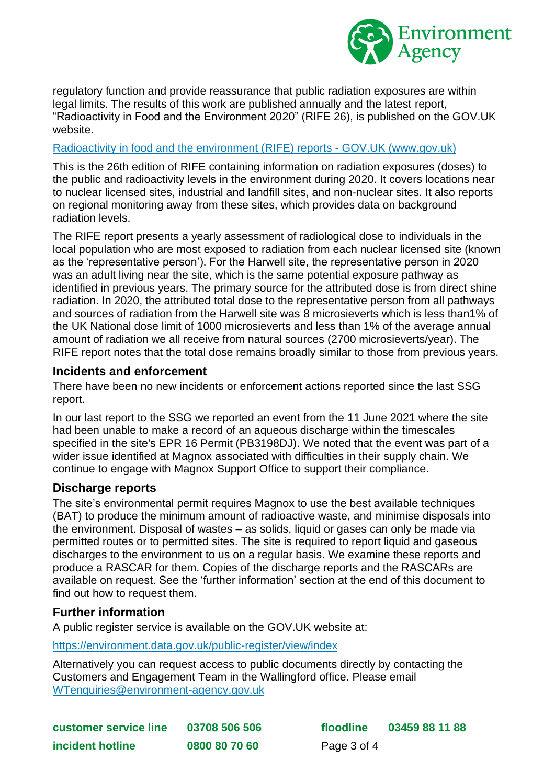

regulatory function and provide reassurance that public radiation exposures are within legal limits. The results of this work are published annually and the latest report, "Radioactivity in Food and the Environment 2020" (RIFE 26), is published on the GOV.UK website.

#### [Radioactivity in food and the environment \(RIFE\) reports -](https://www.gov.uk/government/publications/radioactivity-in-food-and-the-environment-rife-reports) GOV.UK (www.gov.uk)

This is the 26th edition of RIFE containing information on radiation exposures (doses) to the public and radioactivity levels in the environment during 2020. It covers locations near to nuclear licensed sites, industrial and landfill sites, and non-nuclear sites. It also reports on regional monitoring away from these sites, which provides data on background radiation levels.

The RIFE report presents a yearly assessment of radiological dose to individuals in the local population who are most exposed to radiation from each nuclear licensed site (known as the 'representative person'). For the Harwell site, the representative person in 2020 was an adult living near the site, which is the same potential exposure pathway as identified in previous years. The primary source for the attributed dose is from direct shine radiation. In 2020, the attributed total dose to the representative person from all pathways and sources of radiation from the Harwell site was 8 microsieverts which is less than1% of the UK National dose limit of 1000 microsieverts and less than 1% of the average annual amount of radiation we all receive from natural sources (2700 microsieverts/year). The RIFE report notes that the total dose remains broadly similar to those from previous years.

#### **Incidents and enforcement**

There have been no new incidents or enforcement actions reported since the last SSG report.

In our last report to the SSG we reported an event from the 11 June 2021 where the site had been unable to make a record of an aqueous discharge within the timescales specified in the site's EPR 16 Permit (PB3198DJ). We noted that the event was part of a wider issue identified at Magnox associated with difficulties in their supply chain. We continue to engage with Magnox Support Office to support their compliance.

#### **Discharge reports**

The site's environmental permit requires Magnox to use the best available techniques (BAT) to produce the minimum amount of radioactive waste, and minimise disposals into the environment. Disposal of wastes – as solids, liquid or gases can only be made via permitted routes or to permitted sites. The site is required to report liquid and gaseous discharges to the environment to us on a regular basis. We examine these reports and produce a RASCAR for them. Copies of the discharge reports and the RASCARs are available on request. See the 'further information' section at the end of this document to find out how to request them.

#### **Further information**

A public register service is available on the GOV.UK website at:

<https://environment.data.gov.uk/public-register/view/index>

Alternatively you can request access to public documents directly by contacting the Customers and Engagement Team in the Wallingford office. Please email [WTenquiries@environment-agency.gov.uk](mailto:WTenquiries@environment-agency.gov.uk)

| customer service line | 03708 506 506 |
|-----------------------|---------------|
| incident hotline      | 0800 80 70 60 |

**customer service line 03708 506 506 floodline 03459 88 11 88** Page 3 of 4